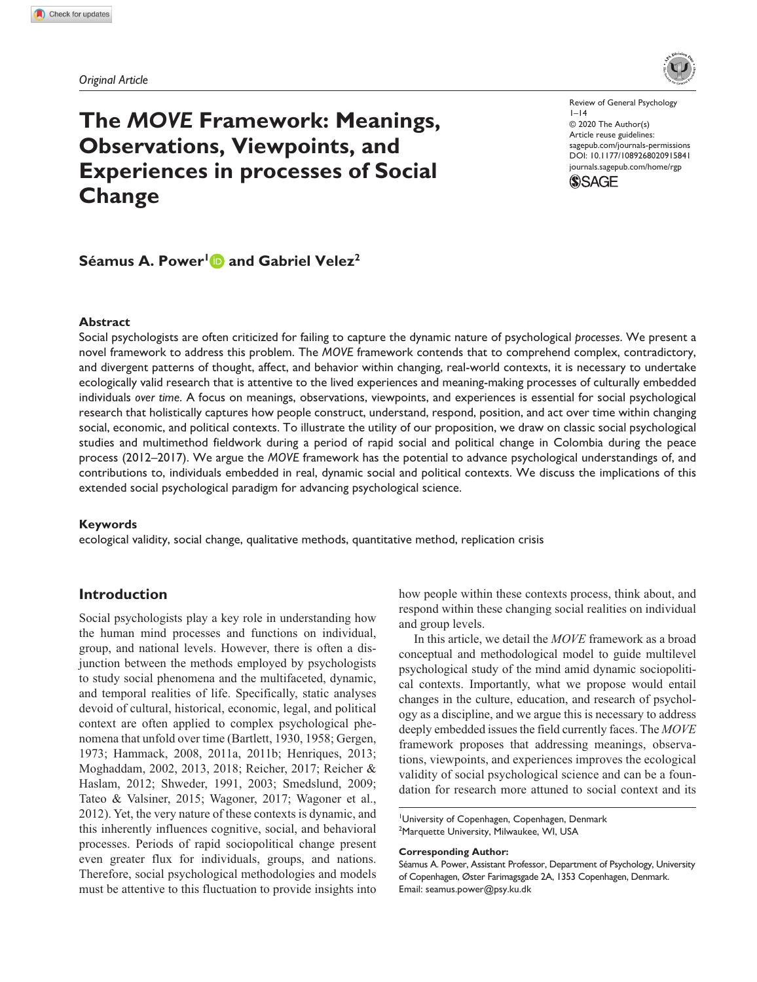*Original Article*

# **The** *MOVE* **Framework: Meanings, Observations, Viewpoints, and Experiences in processes of Social Change**

DOI: 10.1177/1089268020915841 Review of General Psychology  $|-14$ © 2020 The Author(s) Article reuse guidelines: [sagepub.com/journals-permissions](https://us.sagepub.com/en-us/journals-permissions) [journals.sagepub.com/home/rgp](https://journals.sagepub.com/home/rgp)



## **Séamus A. Power<sup>1</sup> and Gabriel Velez<sup>2</sup>**

### **Abstract**

Social psychologists are often criticized for failing to capture the dynamic nature of psychological *processes*. We present a novel framework to address this problem. The *MOVE* framework contends that to comprehend complex, contradictory, and divergent patterns of thought, affect, and behavior within changing, real-world contexts, it is necessary to undertake ecologically valid research that is attentive to the lived experiences and meaning-making processes of culturally embedded individuals *over time*. A focus on meanings, observations, viewpoints, and experiences is essential for social psychological research that holistically captures how people construct, understand, respond, position, and act over time within changing social, economic, and political contexts. To illustrate the utility of our proposition, we draw on classic social psychological studies and multimethod fieldwork during a period of rapid social and political change in Colombia during the peace process (2012–2017). We argue the *MOVE* framework has the potential to advance psychological understandings of, and contributions to, individuals embedded in real, dynamic social and political contexts. We discuss the implications of this extended social psychological paradigm for advancing psychological science.

#### **Keywords**

ecological validity, social change, qualitative methods, quantitative method, replication crisis

## **Introduction**

Social psychologists play a key role in understanding how the human mind processes and functions on individual, group, and national levels. However, there is often a disjunction between the methods employed by psychologists to study social phenomena and the multifaceted, dynamic, and temporal realities of life. Specifically, static analyses devoid of cultural, historical, economic, legal, and political context are often applied to complex psychological phenomena that unfold over time (Bartlett, 1930, 1958; Gergen, 1973; Hammack, 2008, 2011a, 2011b; Henriques, 2013; Moghaddam, 2002, 2013, 2018; Reicher, 2017; Reicher & Haslam, 2012; Shweder, 1991, 2003; Smedslund, 2009; Tateo & Valsiner, 2015; Wagoner, 2017; Wagoner et al., 2012). Yet, the very nature of these contexts is dynamic, and this inherently influences cognitive, social, and behavioral processes. Periods of rapid sociopolitical change present even greater flux for individuals, groups, and nations. Therefore, social psychological methodologies and models must be attentive to this fluctuation to provide insights into how people within these contexts process, think about, and respond within these changing social realities on individual and group levels.

In this article, we detail the *MOVE* framework as a broad conceptual and methodological model to guide multilevel psychological study of the mind amid dynamic sociopolitical contexts. Importantly, what we propose would entail changes in the culture, education, and research of psychology as a discipline, and we argue this is necessary to address deeply embedded issues the field currently faces. The *MOVE* framework proposes that addressing meanings, observations, viewpoints, and experiences improves the ecological validity of social psychological science and can be a foundation for research more attuned to social context and its

1 University of Copenhagen, Copenhagen, Denmark 2 Marquette University, Milwaukee, WI, USA

#### **Corresponding Author:**

Séamus A. Power, Assistant Professor, Department of Psychology, University of Copenhagen, Øster Farimagsgade 2A, 1353 Copenhagen, Denmark. Email: [seamus.power@psy.ku.dk](mailto:seamus.power@psy.ku.dk)

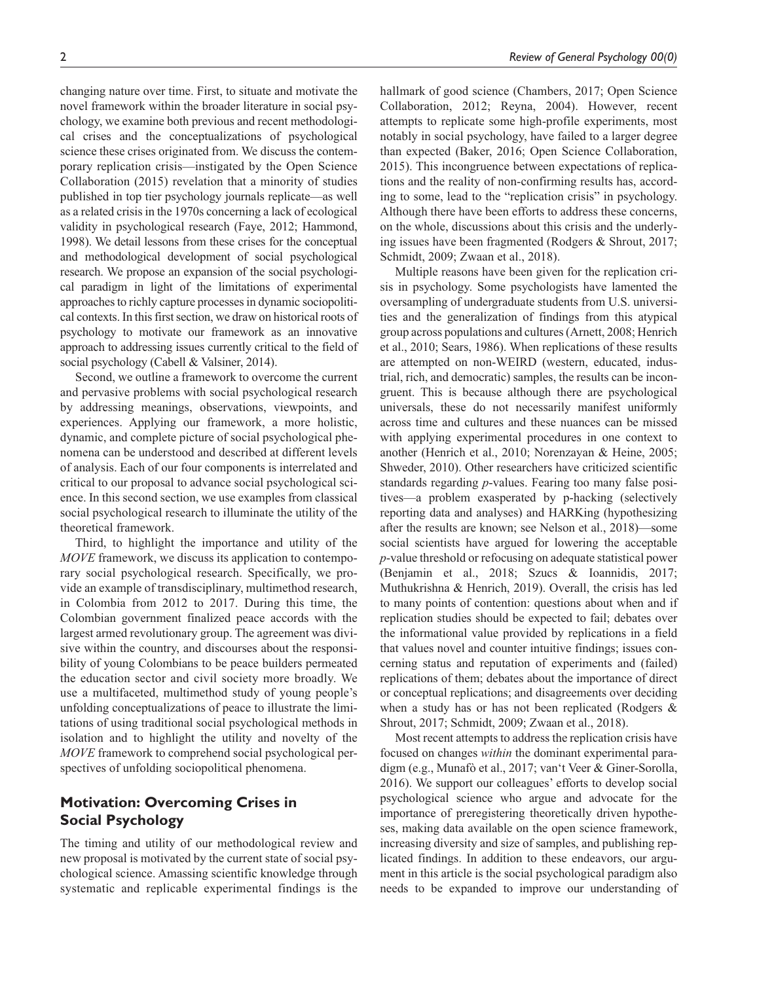changing nature over time. First, to situate and motivate the novel framework within the broader literature in social psychology, we examine both previous and recent methodological crises and the conceptualizations of psychological science these crises originated from. We discuss the contemporary replication crisis—instigated by the Open Science Collaboration (2015) revelation that a minority of studies published in top tier psychology journals replicate—as well as a related crisis in the 1970s concerning a lack of ecological validity in psychological research (Faye, 2012; Hammond, 1998). We detail lessons from these crises for the conceptual and methodological development of social psychological research. We propose an expansion of the social psychological paradigm in light of the limitations of experimental approaches to richly capture processes in dynamic sociopolitical contexts. In this first section, we draw on historical roots of psychology to motivate our framework as an innovative approach to addressing issues currently critical to the field of social psychology (Cabell & Valsiner, 2014).

Second, we outline a framework to overcome the current and pervasive problems with social psychological research by addressing meanings, observations, viewpoints, and experiences. Applying our framework, a more holistic, dynamic, and complete picture of social psychological phenomena can be understood and described at different levels of analysis. Each of our four components is interrelated and critical to our proposal to advance social psychological science. In this second section, we use examples from classical social psychological research to illuminate the utility of the theoretical framework.

Third, to highlight the importance and utility of the *MOVE* framework, we discuss its application to contemporary social psychological research. Specifically, we provide an example of transdisciplinary, multimethod research, in Colombia from 2012 to 2017. During this time, the Colombian government finalized peace accords with the largest armed revolutionary group. The agreement was divisive within the country, and discourses about the responsibility of young Colombians to be peace builders permeated the education sector and civil society more broadly. We use a multifaceted, multimethod study of young people's unfolding conceptualizations of peace to illustrate the limitations of using traditional social psychological methods in isolation and to highlight the utility and novelty of the *MOVE* framework to comprehend social psychological perspectives of unfolding sociopolitical phenomena.

## **Motivation: Overcoming Crises in Social Psychology**

The timing and utility of our methodological review and new proposal is motivated by the current state of social psychological science. Amassing scientific knowledge through systematic and replicable experimental findings is the

hallmark of good science (Chambers, 2017; Open Science Collaboration, 2012; Reyna, 2004). However, recent attempts to replicate some high-profile experiments, most notably in social psychology, have failed to a larger degree than expected (Baker, 2016; Open Science Collaboration, 2015). This incongruence between expectations of replications and the reality of non-confirming results has, according to some, lead to the "replication crisis" in psychology. Although there have been efforts to address these concerns, on the whole, discussions about this crisis and the underlying issues have been fragmented (Rodgers & Shrout, 2017;

Schmidt, 2009; Zwaan et al., 2018).

Multiple reasons have been given for the replication crisis in psychology. Some psychologists have lamented the oversampling of undergraduate students from U.S. universities and the generalization of findings from this atypical group across populations and cultures (Arnett, 2008; Henrich et al., 2010; Sears, 1986). When replications of these results are attempted on non-WEIRD (western, educated, industrial, rich, and democratic) samples, the results can be incongruent. This is because although there are psychological universals, these do not necessarily manifest uniformly across time and cultures and these nuances can be missed with applying experimental procedures in one context to another (Henrich et al., 2010; Norenzayan & Heine, 2005; Shweder, 2010). Other researchers have criticized scientific standards regarding *p*-values. Fearing too many false positives—a problem exasperated by p-hacking (selectively reporting data and analyses) and HARKing (hypothesizing after the results are known; see Nelson et al., 2018)—some social scientists have argued for lowering the acceptable *p*-value threshold or refocusing on adequate statistical power (Benjamin et al., 2018; Szucs & Ioannidis, 2017; Muthukrishna & Henrich, 2019). Overall, the crisis has led to many points of contention: questions about when and if replication studies should be expected to fail; debates over the informational value provided by replications in a field that values novel and counter intuitive findings; issues concerning status and reputation of experiments and (failed) replications of them; debates about the importance of direct or conceptual replications; and disagreements over deciding when a study has or has not been replicated (Rodgers & Shrout, 2017; Schmidt, 2009; Zwaan et al., 2018).

Most recent attempts to address the replication crisis have focused on changes *within* the dominant experimental paradigm (e.g., Munafò et al., 2017; van't Veer & Giner-Sorolla, 2016). We support our colleagues' efforts to develop social psychological science who argue and advocate for the importance of preregistering theoretically driven hypotheses, making data available on the open science framework, increasing diversity and size of samples, and publishing replicated findings. In addition to these endeavors, our argument in this article is the social psychological paradigm also needs to be expanded to improve our understanding of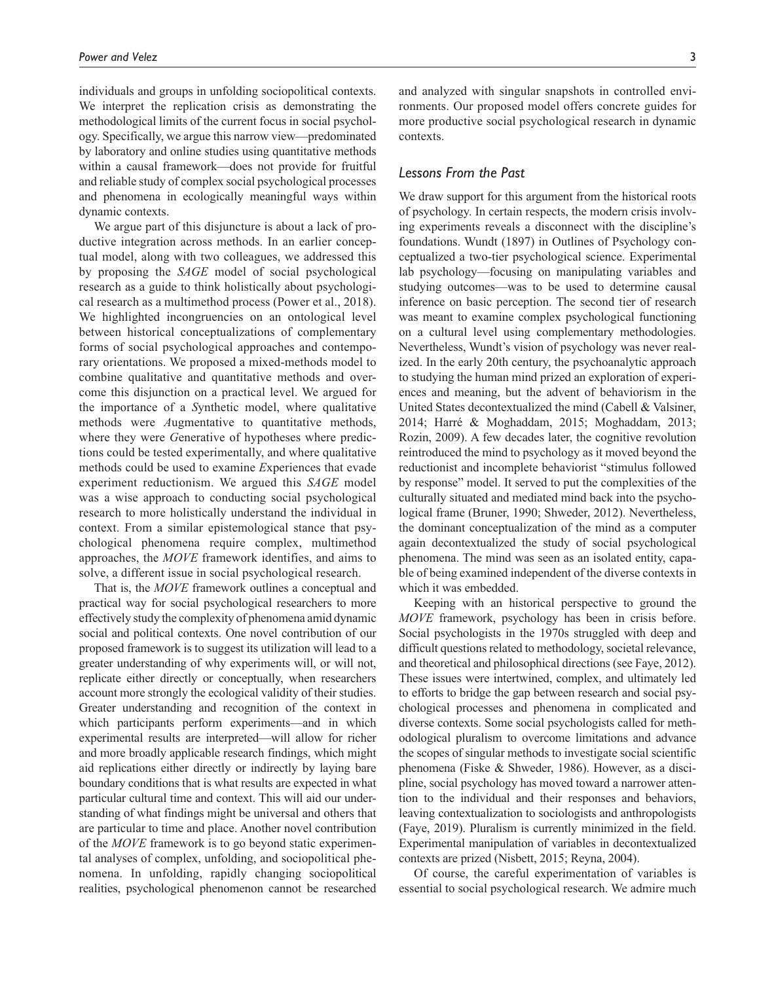individuals and groups in unfolding sociopolitical contexts. We interpret the replication crisis as demonstrating the methodological limits of the current focus in social psychology. Specifically, we argue this narrow view—predominated by laboratory and online studies using quantitative methods within a causal framework—does not provide for fruitful and reliable study of complex social psychological processes and phenomena in ecologically meaningful ways within dynamic contexts.

We argue part of this disjuncture is about a lack of productive integration across methods. In an earlier conceptual model, along with two colleagues, we addressed this by proposing the *SAGE* model of social psychological research as a guide to think holistically about psychological research as a multimethod process (Power et al., 2018). We highlighted incongruencies on an ontological level between historical conceptualizations of complementary forms of social psychological approaches and contemporary orientations. We proposed a mixed-methods model to combine qualitative and quantitative methods and overcome this disjunction on a practical level. We argued for the importance of a *S*ynthetic model, where qualitative methods were *A*ugmentative to quantitative methods, where they were *G*enerative of hypotheses where predictions could be tested experimentally, and where qualitative methods could be used to examine *E*xperiences that evade experiment reductionism. We argued this *SAGE* model was a wise approach to conducting social psychological research to more holistically understand the individual in context. From a similar epistemological stance that psychological phenomena require complex, multimethod approaches, the *MOVE* framework identifies, and aims to solve, a different issue in social psychological research.

That is, the *MOVE* framework outlines a conceptual and practical way for social psychological researchers to more effectively study the complexity of phenomena amid dynamic social and political contexts. One novel contribution of our proposed framework is to suggest its utilization will lead to a greater understanding of why experiments will, or will not, replicate either directly or conceptually, when researchers account more strongly the ecological validity of their studies. Greater understanding and recognition of the context in which participants perform experiments—and in which experimental results are interpreted—will allow for richer and more broadly applicable research findings, which might aid replications either directly or indirectly by laying bare boundary conditions that is what results are expected in what particular cultural time and context. This will aid our understanding of what findings might be universal and others that are particular to time and place. Another novel contribution of the *MOVE* framework is to go beyond static experimental analyses of complex, unfolding, and sociopolitical phenomena. In unfolding, rapidly changing sociopolitical realities, psychological phenomenon cannot be researched and analyzed with singular snapshots in controlled environments. Our proposed model offers concrete guides for more productive social psychological research in dynamic contexts.

#### *Lessons From the Past*

We draw support for this argument from the historical roots of psychology. In certain respects, the modern crisis involving experiments reveals a disconnect with the discipline's foundations. Wundt (1897) in Outlines of Psychology conceptualized a two-tier psychological science. Experimental lab psychology—focusing on manipulating variables and studying outcomes—was to be used to determine causal inference on basic perception. The second tier of research was meant to examine complex psychological functioning on a cultural level using complementary methodologies. Nevertheless, Wundt's vision of psychology was never realized. In the early 20th century, the psychoanalytic approach to studying the human mind prized an exploration of experiences and meaning, but the advent of behaviorism in the United States decontextualized the mind (Cabell & Valsiner, 2014; Harré & Moghaddam, 2015; Moghaddam, 2013; Rozin, 2009). A few decades later, the cognitive revolution reintroduced the mind to psychology as it moved beyond the reductionist and incomplete behaviorist "stimulus followed by response" model. It served to put the complexities of the culturally situated and mediated mind back into the psychological frame (Bruner, 1990; Shweder, 2012). Nevertheless, the dominant conceptualization of the mind as a computer again decontextualized the study of social psychological phenomena. The mind was seen as an isolated entity, capable of being examined independent of the diverse contexts in which it was embedded.

Keeping with an historical perspective to ground the *MOVE* framework, psychology has been in crisis before. Social psychologists in the 1970s struggled with deep and difficult questions related to methodology, societal relevance, and theoretical and philosophical directions (see Faye, 2012). These issues were intertwined, complex, and ultimately led to efforts to bridge the gap between research and social psychological processes and phenomena in complicated and diverse contexts. Some social psychologists called for methodological pluralism to overcome limitations and advance the scopes of singular methods to investigate social scientific phenomena (Fiske & Shweder, 1986). However, as a discipline, social psychology has moved toward a narrower attention to the individual and their responses and behaviors, leaving contextualization to sociologists and anthropologists (Faye, 2019). Pluralism is currently minimized in the field. Experimental manipulation of variables in decontextualized contexts are prized (Nisbett, 2015; Reyna, 2004).

Of course, the careful experimentation of variables is essential to social psychological research. We admire much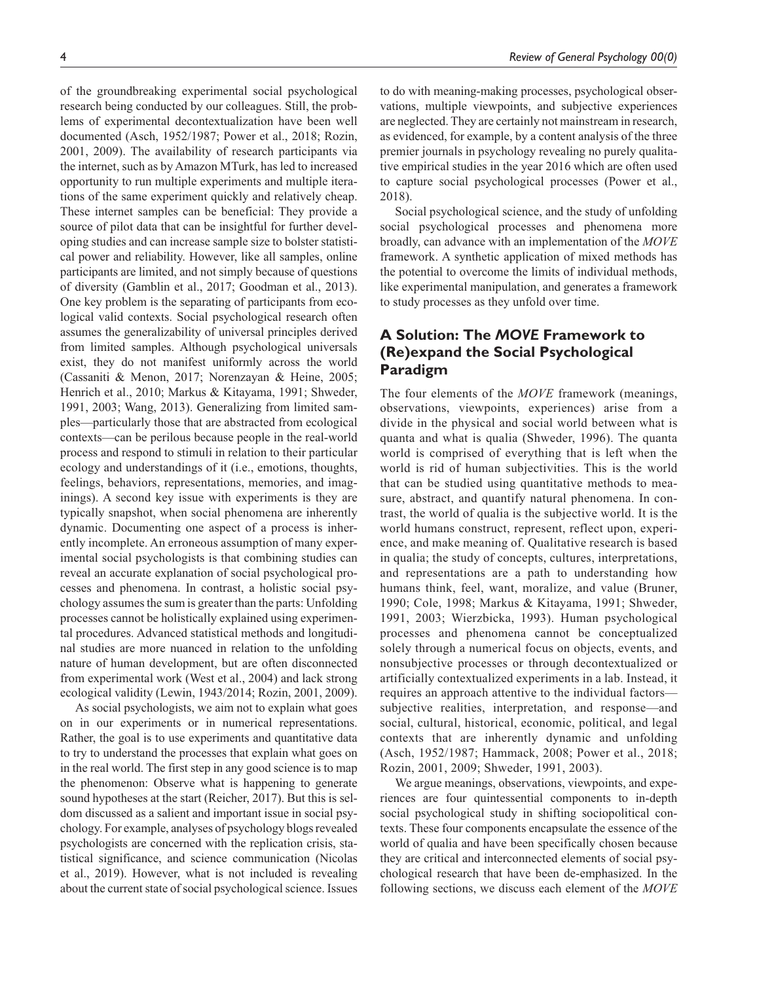research being conducted by our colleagues. Still, the problems of experimental decontextualization have been well documented (Asch, 1952/1987; Power et al., 2018; Rozin, 2001, 2009). The availability of research participants via the internet, such as by Amazon MTurk, has led to increased opportunity to run multiple experiments and multiple iterations of the same experiment quickly and relatively cheap. These internet samples can be beneficial: They provide a source of pilot data that can be insightful for further developing studies and can increase sample size to bolster statistical power and reliability. However, like all samples, online participants are limited, and not simply because of questions of diversity (Gamblin et al., 2017; Goodman et al., 2013). One key problem is the separating of participants from ecological valid contexts. Social psychological research often assumes the generalizability of universal principles derived from limited samples. Although psychological universals exist, they do not manifest uniformly across the world (Cassaniti & Menon, 2017; Norenzayan & Heine, 2005; Henrich et al., 2010; Markus & Kitayama, 1991; Shweder, 1991, 2003; Wang, 2013). Generalizing from limited samples—particularly those that are abstracted from ecological contexts—can be perilous because people in the real-world process and respond to stimuli in relation to their particular ecology and understandings of it (i.e., emotions, thoughts, feelings, behaviors, representations, memories, and imaginings). A second key issue with experiments is they are typically snapshot, when social phenomena are inherently dynamic. Documenting one aspect of a process is inherently incomplete. An erroneous assumption of many experimental social psychologists is that combining studies can reveal an accurate explanation of social psychological processes and phenomena. In contrast, a holistic social psychology assumes the sum is greater than the parts: Unfolding processes cannot be holistically explained using experimental procedures. Advanced statistical methods and longitudinal studies are more nuanced in relation to the unfolding nature of human development, but are often disconnected from experimental work (West et al., 2004) and lack strong ecological validity (Lewin, 1943/2014; Rozin, 2001, 2009).

As social psychologists, we aim not to explain what goes on in our experiments or in numerical representations. Rather, the goal is to use experiments and quantitative data to try to understand the processes that explain what goes on in the real world. The first step in any good science is to map the phenomenon: Observe what is happening to generate sound hypotheses at the start (Reicher, 2017). But this is seldom discussed as a salient and important issue in social psychology. For example, analyses of psychology blogs revealed psychologists are concerned with the replication crisis, statistical significance, and science communication (Nicolas et al., 2019). However, what is not included is revealing about the current state of social psychological science. Issues

to do with meaning-making processes, psychological observations, multiple viewpoints, and subjective experiences are neglected. They are certainly not mainstream in research, as evidenced, for example, by a content analysis of the three premier journals in psychology revealing no purely qualitative empirical studies in the year 2016 which are often used to capture social psychological processes (Power et al., 2018).

Social psychological science, and the study of unfolding social psychological processes and phenomena more broadly, can advance with an implementation of the *MOVE* framework. A synthetic application of mixed methods has the potential to overcome the limits of individual methods, like experimental manipulation, and generates a framework to study processes as they unfold over time.

## **A Solution: The** *MOVE* **Framework to (Re)expand the Social Psychological Paradigm**

The four elements of the *MOVE* framework (meanings, observations, viewpoints, experiences) arise from a divide in the physical and social world between what is quanta and what is qualia (Shweder, 1996). The quanta world is comprised of everything that is left when the world is rid of human subjectivities. This is the world that can be studied using quantitative methods to measure, abstract, and quantify natural phenomena. In contrast, the world of qualia is the subjective world. It is the world humans construct, represent, reflect upon, experience, and make meaning of. Qualitative research is based in qualia; the study of concepts, cultures, interpretations, and representations are a path to understanding how humans think, feel, want, moralize, and value (Bruner, 1990; Cole, 1998; Markus & Kitayama, 1991; Shweder, 1991, 2003; Wierzbicka, 1993). Human psychological processes and phenomena cannot be conceptualized solely through a numerical focus on objects, events, and nonsubjective processes or through decontextualized or artificially contextualized experiments in a lab. Instead, it requires an approach attentive to the individual factors subjective realities, interpretation, and response—and social, cultural, historical, economic, political, and legal contexts that are inherently dynamic and unfolding (Asch, 1952/1987; Hammack, 2008; Power et al., 2018; Rozin, 2001, 2009; Shweder, 1991, 2003).

We argue meanings, observations, viewpoints, and experiences are four quintessential components to in-depth social psychological study in shifting sociopolitical contexts. These four components encapsulate the essence of the world of qualia and have been specifically chosen because they are critical and interconnected elements of social psychological research that have been de-emphasized. In the following sections, we discuss each element of the *MOVE*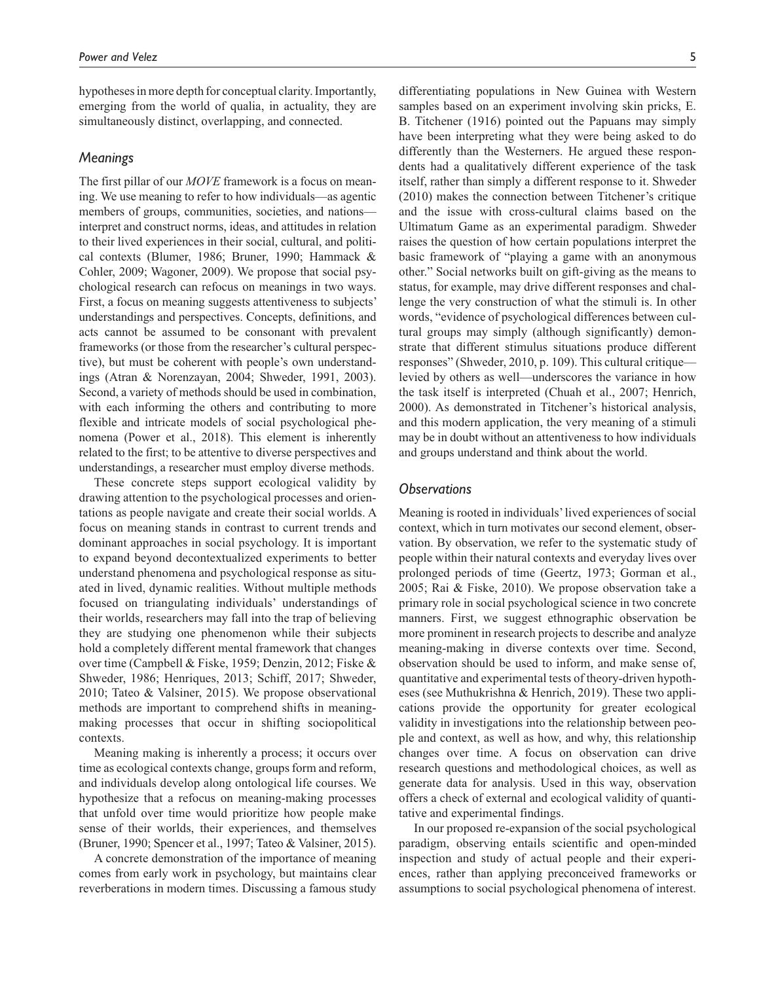hypotheses in more depth for conceptual clarity. Importantly, emerging from the world of qualia, in actuality, they are simultaneously distinct, overlapping, and connected.

#### *Meanings*

The first pillar of our *MOVE* framework is a focus on meaning. We use meaning to refer to how individuals—as agentic members of groups, communities, societies, and nations interpret and construct norms, ideas, and attitudes in relation to their lived experiences in their social, cultural, and political contexts (Blumer, 1986; Bruner, 1990; Hammack & Cohler, 2009; Wagoner, 2009). We propose that social psychological research can refocus on meanings in two ways. First, a focus on meaning suggests attentiveness to subjects' understandings and perspectives. Concepts, definitions, and acts cannot be assumed to be consonant with prevalent frameworks (or those from the researcher's cultural perspective), but must be coherent with people's own understandings (Atran & Norenzayan, 2004; Shweder, 1991, 2003). Second, a variety of methods should be used in combination, with each informing the others and contributing to more flexible and intricate models of social psychological phenomena (Power et al., 2018). This element is inherently related to the first; to be attentive to diverse perspectives and understandings, a researcher must employ diverse methods.

These concrete steps support ecological validity by drawing attention to the psychological processes and orientations as people navigate and create their social worlds. A focus on meaning stands in contrast to current trends and dominant approaches in social psychology. It is important to expand beyond decontextualized experiments to better understand phenomena and psychological response as situated in lived, dynamic realities. Without multiple methods focused on triangulating individuals' understandings of their worlds, researchers may fall into the trap of believing they are studying one phenomenon while their subjects hold a completely different mental framework that changes over time (Campbell & Fiske, 1959; Denzin, 2012; Fiske & Shweder, 1986; Henriques, 2013; Schiff, 2017; Shweder, 2010; Tateo & Valsiner, 2015). We propose observational methods are important to comprehend shifts in meaningmaking processes that occur in shifting sociopolitical contexts.

Meaning making is inherently a process; it occurs over time as ecological contexts change, groups form and reform, and individuals develop along ontological life courses. We hypothesize that a refocus on meaning-making processes that unfold over time would prioritize how people make sense of their worlds, their experiences, and themselves (Bruner, 1990; Spencer et al., 1997; Tateo & Valsiner, 2015).

A concrete demonstration of the importance of meaning comes from early work in psychology, but maintains clear reverberations in modern times. Discussing a famous study differentiating populations in New Guinea with Western samples based on an experiment involving skin pricks, E. B. Titchener (1916) pointed out the Papuans may simply have been interpreting what they were being asked to do differently than the Westerners. He argued these respondents had a qualitatively different experience of the task itself, rather than simply a different response to it. Shweder (2010) makes the connection between Titchener's critique and the issue with cross-cultural claims based on the Ultimatum Game as an experimental paradigm. Shweder raises the question of how certain populations interpret the basic framework of "playing a game with an anonymous other." Social networks built on gift-giving as the means to status, for example, may drive different responses and challenge the very construction of what the stimuli is. In other words, "evidence of psychological differences between cultural groups may simply (although significantly) demonstrate that different stimulus situations produce different responses" (Shweder, 2010, p. 109). This cultural critique levied by others as well—underscores the variance in how the task itself is interpreted (Chuah et al., 2007; Henrich, 2000). As demonstrated in Titchener's historical analysis, and this modern application, the very meaning of a stimuli may be in doubt without an attentiveness to how individuals and groups understand and think about the world.

#### *Observations*

Meaning is rooted in individuals' lived experiences of social context, which in turn motivates our second element, observation. By observation, we refer to the systematic study of people within their natural contexts and everyday lives over prolonged periods of time (Geertz, 1973; Gorman et al., 2005; Rai & Fiske, 2010). We propose observation take a primary role in social psychological science in two concrete manners. First, we suggest ethnographic observation be more prominent in research projects to describe and analyze meaning-making in diverse contexts over time. Second, observation should be used to inform, and make sense of, quantitative and experimental tests of theory-driven hypotheses (see Muthukrishna & Henrich, 2019). These two applications provide the opportunity for greater ecological validity in investigations into the relationship between people and context, as well as how, and why, this relationship changes over time. A focus on observation can drive research questions and methodological choices, as well as generate data for analysis. Used in this way, observation offers a check of external and ecological validity of quantitative and experimental findings.

In our proposed re-expansion of the social psychological paradigm, observing entails scientific and open-minded inspection and study of actual people and their experiences, rather than applying preconceived frameworks or assumptions to social psychological phenomena of interest.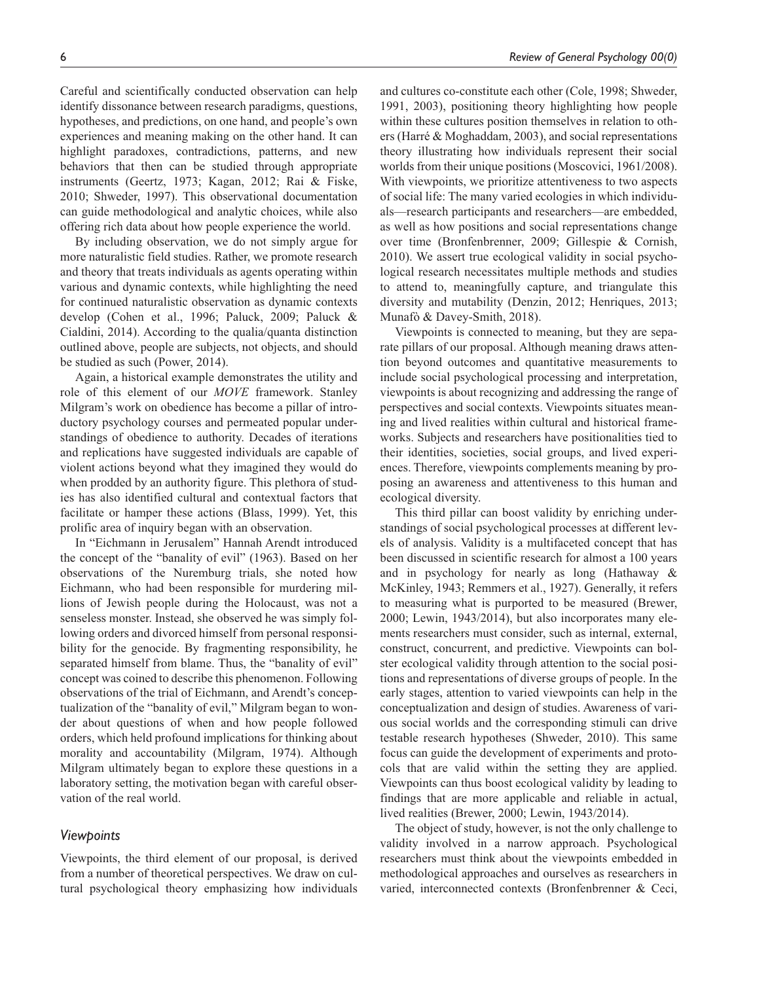Careful and scientifically conducted observation can help identify dissonance between research paradigms, questions, hypotheses, and predictions, on one hand, and people's own experiences and meaning making on the other hand. It can highlight paradoxes, contradictions, patterns, and new behaviors that then can be studied through appropriate instruments (Geertz, 1973; Kagan, 2012; Rai & Fiske, 2010; Shweder, 1997). This observational documentation can guide methodological and analytic choices, while also offering rich data about how people experience the world.

By including observation, we do not simply argue for more naturalistic field studies. Rather, we promote research and theory that treats individuals as agents operating within various and dynamic contexts, while highlighting the need for continued naturalistic observation as dynamic contexts develop (Cohen et al., 1996; Paluck, 2009; Paluck & Cialdini, 2014). According to the qualia/quanta distinction outlined above, people are subjects, not objects, and should be studied as such (Power, 2014).

Again, a historical example demonstrates the utility and role of this element of our *MOVE* framework. Stanley Milgram's work on obedience has become a pillar of introductory psychology courses and permeated popular understandings of obedience to authority. Decades of iterations and replications have suggested individuals are capable of violent actions beyond what they imagined they would do when prodded by an authority figure. This plethora of studies has also identified cultural and contextual factors that facilitate or hamper these actions (Blass, 1999). Yet, this prolific area of inquiry began with an observation.

In "Eichmann in Jerusalem" Hannah Arendt introduced the concept of the "banality of evil" (1963). Based on her observations of the Nuremburg trials, she noted how Eichmann, who had been responsible for murdering millions of Jewish people during the Holocaust, was not a senseless monster. Instead, she observed he was simply following orders and divorced himself from personal responsibility for the genocide. By fragmenting responsibility, he separated himself from blame. Thus, the "banality of evil" concept was coined to describe this phenomenon. Following observations of the trial of Eichmann, and Arendt's conceptualization of the "banality of evil," Milgram began to wonder about questions of when and how people followed orders, which held profound implications for thinking about morality and accountability (Milgram, 1974). Although Milgram ultimately began to explore these questions in a laboratory setting, the motivation began with careful observation of the real world.

#### *Viewpoints*

Viewpoints, the third element of our proposal, is derived from a number of theoretical perspectives. We draw on cultural psychological theory emphasizing how individuals and cultures co-constitute each other (Cole, 1998; Shweder, 1991, 2003), positioning theory highlighting how people within these cultures position themselves in relation to others (Harré & Moghaddam, 2003), and social representations theory illustrating how individuals represent their social worlds from their unique positions (Moscovici, 1961/2008). With viewpoints, we prioritize attentiveness to two aspects of social life: The many varied ecologies in which individuals—research participants and researchers—are embedded, as well as how positions and social representations change over time (Bronfenbrenner, 2009; Gillespie & Cornish, 2010). We assert true ecological validity in social psychological research necessitates multiple methods and studies to attend to, meaningfully capture, and triangulate this diversity and mutability (Denzin, 2012; Henriques, 2013; Munafò & Davey-Smith, 2018).

Viewpoints is connected to meaning, but they are separate pillars of our proposal. Although meaning draws attention beyond outcomes and quantitative measurements to include social psychological processing and interpretation, viewpoints is about recognizing and addressing the range of perspectives and social contexts. Viewpoints situates meaning and lived realities within cultural and historical frameworks. Subjects and researchers have positionalities tied to their identities, societies, social groups, and lived experiences. Therefore, viewpoints complements meaning by proposing an awareness and attentiveness to this human and ecological diversity.

This third pillar can boost validity by enriching understandings of social psychological processes at different levels of analysis. Validity is a multifaceted concept that has been discussed in scientific research for almost a 100 years and in psychology for nearly as long (Hathaway & McKinley, 1943; Remmers et al., 1927). Generally, it refers to measuring what is purported to be measured (Brewer, 2000; Lewin, 1943/2014), but also incorporates many elements researchers must consider, such as internal, external, construct, concurrent, and predictive. Viewpoints can bolster ecological validity through attention to the social positions and representations of diverse groups of people. In the early stages, attention to varied viewpoints can help in the conceptualization and design of studies. Awareness of various social worlds and the corresponding stimuli can drive testable research hypotheses (Shweder, 2010). This same focus can guide the development of experiments and protocols that are valid within the setting they are applied. Viewpoints can thus boost ecological validity by leading to findings that are more applicable and reliable in actual, lived realities (Brewer, 2000; Lewin, 1943/2014).

The object of study, however, is not the only challenge to validity involved in a narrow approach. Psychological researchers must think about the viewpoints embedded in methodological approaches and ourselves as researchers in varied, interconnected contexts (Bronfenbrenner & Ceci,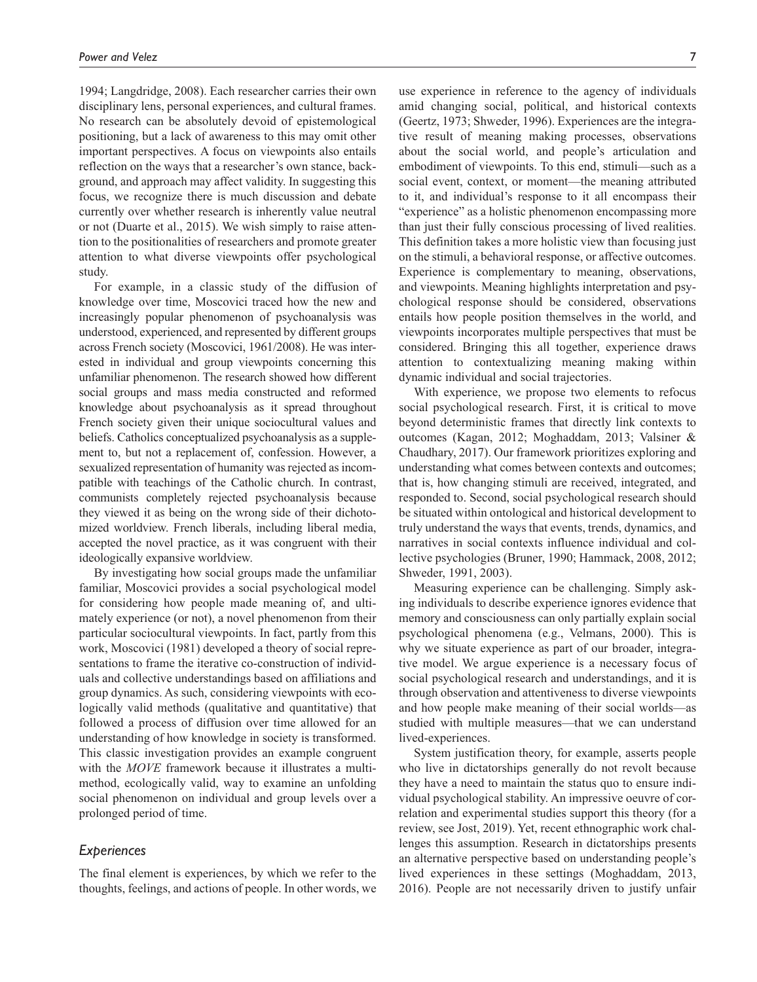1994; Langdridge, 2008). Each researcher carries their own disciplinary lens, personal experiences, and cultural frames. No research can be absolutely devoid of epistemological positioning, but a lack of awareness to this may omit other important perspectives. A focus on viewpoints also entails reflection on the ways that a researcher's own stance, background, and approach may affect validity. In suggesting this focus, we recognize there is much discussion and debate currently over whether research is inherently value neutral or not (Duarte et al., 2015). We wish simply to raise attention to the positionalities of researchers and promote greater attention to what diverse viewpoints offer psychological study.

For example, in a classic study of the diffusion of knowledge over time, Moscovici traced how the new and increasingly popular phenomenon of psychoanalysis was understood, experienced, and represented by different groups across French society (Moscovici, 1961/2008). He was interested in individual and group viewpoints concerning this unfamiliar phenomenon. The research showed how different social groups and mass media constructed and reformed knowledge about psychoanalysis as it spread throughout French society given their unique sociocultural values and beliefs. Catholics conceptualized psychoanalysis as a supplement to, but not a replacement of, confession. However, a sexualized representation of humanity was rejected as incompatible with teachings of the Catholic church. In contrast, communists completely rejected psychoanalysis because they viewed it as being on the wrong side of their dichotomized worldview. French liberals, including liberal media, accepted the novel practice, as it was congruent with their ideologically expansive worldview.

By investigating how social groups made the unfamiliar familiar, Moscovici provides a social psychological model for considering how people made meaning of, and ultimately experience (or not), a novel phenomenon from their particular sociocultural viewpoints. In fact, partly from this work, Moscovici (1981) developed a theory of social representations to frame the iterative co-construction of individuals and collective understandings based on affiliations and group dynamics. As such, considering viewpoints with ecologically valid methods (qualitative and quantitative) that followed a process of diffusion over time allowed for an understanding of how knowledge in society is transformed. This classic investigation provides an example congruent with the *MOVE* framework because it illustrates a multimethod, ecologically valid, way to examine an unfolding social phenomenon on individual and group levels over a prolonged period of time.

#### *Experiences*

The final element is experiences, by which we refer to the thoughts, feelings, and actions of people. In other words, we use experience in reference to the agency of individuals amid changing social, political, and historical contexts (Geertz, 1973; Shweder, 1996). Experiences are the integrative result of meaning making processes, observations about the social world, and people's articulation and embodiment of viewpoints. To this end, stimuli—such as a social event, context, or moment—the meaning attributed to it, and individual's response to it all encompass their "experience" as a holistic phenomenon encompassing more than just their fully conscious processing of lived realities. This definition takes a more holistic view than focusing just on the stimuli, a behavioral response, or affective outcomes. Experience is complementary to meaning, observations, and viewpoints. Meaning highlights interpretation and psychological response should be considered, observations entails how people position themselves in the world, and viewpoints incorporates multiple perspectives that must be considered. Bringing this all together, experience draws attention to contextualizing meaning making within dynamic individual and social trajectories.

With experience, we propose two elements to refocus social psychological research. First, it is critical to move beyond deterministic frames that directly link contexts to outcomes (Kagan, 2012; Moghaddam, 2013; Valsiner & Chaudhary, 2017). Our framework prioritizes exploring and understanding what comes between contexts and outcomes; that is, how changing stimuli are received, integrated, and responded to. Second, social psychological research should be situated within ontological and historical development to truly understand the ways that events, trends, dynamics, and narratives in social contexts influence individual and collective psychologies (Bruner, 1990; Hammack, 2008, 2012; Shweder, 1991, 2003).

Measuring experience can be challenging. Simply asking individuals to describe experience ignores evidence that memory and consciousness can only partially explain social psychological phenomena (e.g., Velmans, 2000). This is why we situate experience as part of our broader, integrative model. We argue experience is a necessary focus of social psychological research and understandings, and it is through observation and attentiveness to diverse viewpoints and how people make meaning of their social worlds—as studied with multiple measures—that we can understand lived-experiences.

System justification theory, for example, asserts people who live in dictatorships generally do not revolt because they have a need to maintain the status quo to ensure individual psychological stability. An impressive oeuvre of correlation and experimental studies support this theory (for a review, see Jost, 2019). Yet, recent ethnographic work challenges this assumption. Research in dictatorships presents an alternative perspective based on understanding people's lived experiences in these settings (Moghaddam, 2013, 2016). People are not necessarily driven to justify unfair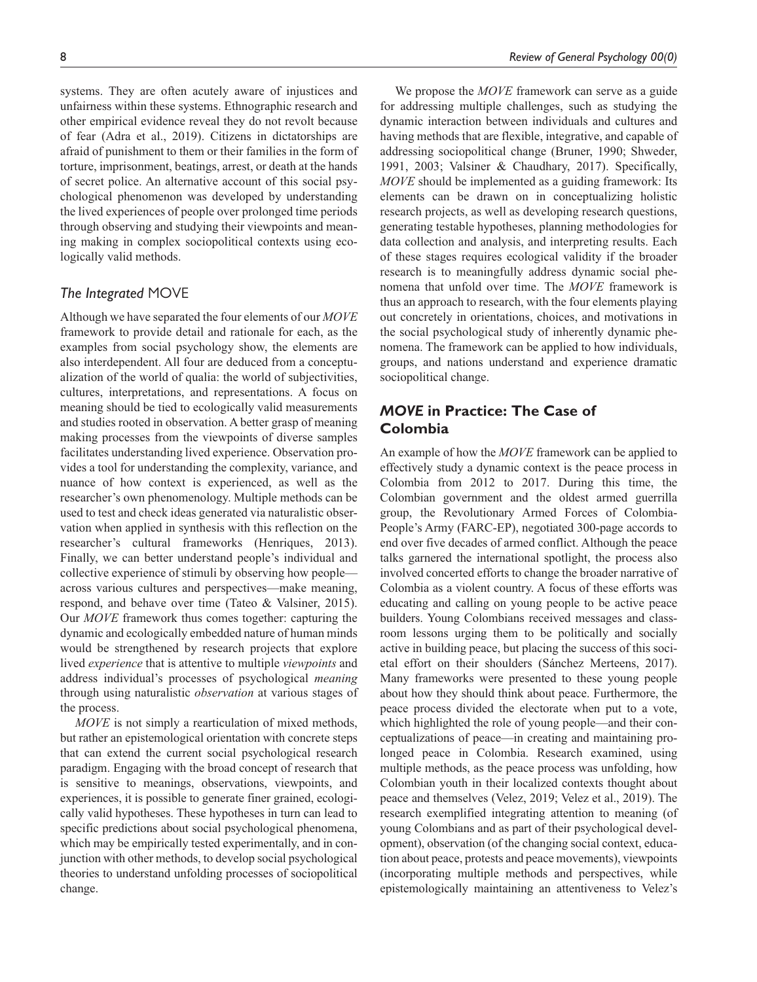systems. They are often acutely aware of injustices and unfairness within these systems. Ethnographic research and other empirical evidence reveal they do not revolt because of fear (Adra et al., 2019). Citizens in dictatorships are afraid of punishment to them or their families in the form of torture, imprisonment, beatings, arrest, or death at the hands of secret police. An alternative account of this social psychological phenomenon was developed by understanding the lived experiences of people over prolonged time periods through observing and studying their viewpoints and meaning making in complex sociopolitical contexts using ecologically valid methods.

### *The Integrated* MOVE

Although we have separated the four elements of our *MOVE* framework to provide detail and rationale for each, as the examples from social psychology show, the elements are also interdependent. All four are deduced from a conceptualization of the world of qualia: the world of subjectivities, cultures, interpretations, and representations. A focus on meaning should be tied to ecologically valid measurements and studies rooted in observation. A better grasp of meaning making processes from the viewpoints of diverse samples facilitates understanding lived experience. Observation provides a tool for understanding the complexity, variance, and nuance of how context is experienced, as well as the researcher's own phenomenology. Multiple methods can be used to test and check ideas generated via naturalistic observation when applied in synthesis with this reflection on the researcher's cultural frameworks (Henriques, 2013). Finally, we can better understand people's individual and collective experience of stimuli by observing how people across various cultures and perspectives—make meaning, respond, and behave over time (Tateo & Valsiner, 2015). Our *MOVE* framework thus comes together: capturing the dynamic and ecologically embedded nature of human minds would be strengthened by research projects that explore lived *experience* that is attentive to multiple *viewpoints* and address individual's processes of psychological *meaning* through using naturalistic *observation* at various stages of the process.

*MOVE* is not simply a rearticulation of mixed methods, but rather an epistemological orientation with concrete steps that can extend the current social psychological research paradigm. Engaging with the broad concept of research that is sensitive to meanings, observations, viewpoints, and experiences, it is possible to generate finer grained, ecologically valid hypotheses. These hypotheses in turn can lead to specific predictions about social psychological phenomena, which may be empirically tested experimentally, and in conjunction with other methods, to develop social psychological theories to understand unfolding processes of sociopolitical change.

8 *Review of General Psychology 00(0)*

We propose the *MOVE* framework can serve as a guide for addressing multiple challenges, such as studying the dynamic interaction between individuals and cultures and having methods that are flexible, integrative, and capable of addressing sociopolitical change (Bruner, 1990; Shweder, 1991, 2003; Valsiner & Chaudhary, 2017). Specifically, *MOVE* should be implemented as a guiding framework: Its elements can be drawn on in conceptualizing holistic research projects, as well as developing research questions, generating testable hypotheses, planning methodologies for data collection and analysis, and interpreting results. Each of these stages requires ecological validity if the broader research is to meaningfully address dynamic social phenomena that unfold over time. The *MOVE* framework is thus an approach to research, with the four elements playing out concretely in orientations, choices, and motivations in the social psychological study of inherently dynamic phenomena. The framework can be applied to how individuals, groups, and nations understand and experience dramatic sociopolitical change.

## *MOVE* **in Practice: The Case of Colombia**

An example of how the *MOVE* framework can be applied to effectively study a dynamic context is the peace process in Colombia from 2012 to 2017. During this time, the Colombian government and the oldest armed guerrilla group, the Revolutionary Armed Forces of Colombia-People's Army (FARC-EP), negotiated 300-page accords to end over five decades of armed conflict. Although the peace talks garnered the international spotlight, the process also involved concerted efforts to change the broader narrative of Colombia as a violent country. A focus of these efforts was educating and calling on young people to be active peace builders. Young Colombians received messages and classroom lessons urging them to be politically and socially active in building peace, but placing the success of this societal effort on their shoulders (Sánchez Merteens, 2017). Many frameworks were presented to these young people about how they should think about peace. Furthermore, the peace process divided the electorate when put to a vote, which highlighted the role of young people—and their conceptualizations of peace—in creating and maintaining prolonged peace in Colombia. Research examined, using multiple methods, as the peace process was unfolding, how Colombian youth in their localized contexts thought about peace and themselves (Velez, 2019; Velez et al., 2019). The research exemplified integrating attention to meaning (of young Colombians and as part of their psychological development), observation (of the changing social context, education about peace, protests and peace movements), viewpoints (incorporating multiple methods and perspectives, while epistemologically maintaining an attentiveness to Velez's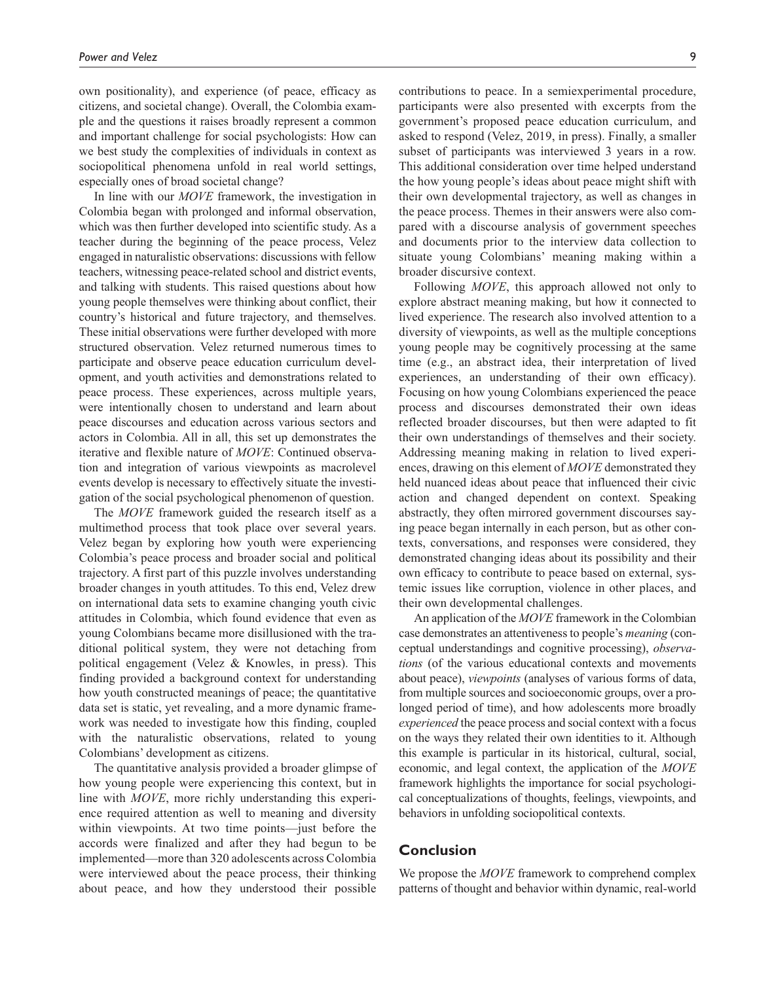own positionality), and experience (of peace, efficacy as citizens, and societal change). Overall, the Colombia example and the questions it raises broadly represent a common and important challenge for social psychologists: How can we best study the complexities of individuals in context as sociopolitical phenomena unfold in real world settings, especially ones of broad societal change?

In line with our *MOVE* framework, the investigation in Colombia began with prolonged and informal observation, which was then further developed into scientific study. As a teacher during the beginning of the peace process, Velez engaged in naturalistic observations: discussions with fellow teachers, witnessing peace-related school and district events, and talking with students. This raised questions about how young people themselves were thinking about conflict, their country's historical and future trajectory, and themselves. These initial observations were further developed with more structured observation. Velez returned numerous times to participate and observe peace education curriculum development, and youth activities and demonstrations related to peace process. These experiences, across multiple years, were intentionally chosen to understand and learn about peace discourses and education across various sectors and actors in Colombia. All in all, this set up demonstrates the iterative and flexible nature of *MOVE*: Continued observation and integration of various viewpoints as macrolevel events develop is necessary to effectively situate the investigation of the social psychological phenomenon of question.

The *MOVE* framework guided the research itself as a multimethod process that took place over several years. Velez began by exploring how youth were experiencing Colombia's peace process and broader social and political trajectory. A first part of this puzzle involves understanding broader changes in youth attitudes. To this end, Velez drew on international data sets to examine changing youth civic attitudes in Colombia, which found evidence that even as young Colombians became more disillusioned with the traditional political system, they were not detaching from political engagement (Velez & Knowles, in press). This finding provided a background context for understanding how youth constructed meanings of peace; the quantitative data set is static, yet revealing, and a more dynamic framework was needed to investigate how this finding, coupled with the naturalistic observations, related to young Colombians' development as citizens.

The quantitative analysis provided a broader glimpse of how young people were experiencing this context, but in line with *MOVE*, more richly understanding this experience required attention as well to meaning and diversity within viewpoints. At two time points—just before the accords were finalized and after they had begun to be implemented—more than 320 adolescents across Colombia were interviewed about the peace process, their thinking about peace, and how they understood their possible

contributions to peace. In a semiexperimental procedure, participants were also presented with excerpts from the government's proposed peace education curriculum, and asked to respond (Velez, 2019, in press). Finally, a smaller subset of participants was interviewed 3 years in a row. This additional consideration over time helped understand the how young people's ideas about peace might shift with their own developmental trajectory, as well as changes in the peace process. Themes in their answers were also compared with a discourse analysis of government speeches and documents prior to the interview data collection to situate young Colombians' meaning making within a broader discursive context.

Following *MOVE*, this approach allowed not only to explore abstract meaning making, but how it connected to lived experience. The research also involved attention to a diversity of viewpoints, as well as the multiple conceptions young people may be cognitively processing at the same time (e.g., an abstract idea, their interpretation of lived experiences, an understanding of their own efficacy). Focusing on how young Colombians experienced the peace process and discourses demonstrated their own ideas reflected broader discourses, but then were adapted to fit their own understandings of themselves and their society. Addressing meaning making in relation to lived experiences, drawing on this element of *MOVE* demonstrated they held nuanced ideas about peace that influenced their civic action and changed dependent on context. Speaking abstractly, they often mirrored government discourses saying peace began internally in each person, but as other contexts, conversations, and responses were considered, they demonstrated changing ideas about its possibility and their own efficacy to contribute to peace based on external, systemic issues like corruption, violence in other places, and their own developmental challenges.

An application of the *MOVE* framework in the Colombian case demonstrates an attentiveness to people's *meaning* (conceptual understandings and cognitive processing), *observations* (of the various educational contexts and movements about peace), *viewpoints* (analyses of various forms of data, from multiple sources and socioeconomic groups, over a prolonged period of time), and how adolescents more broadly *experienced* the peace process and social context with a focus on the ways they related their own identities to it. Although this example is particular in its historical, cultural, social, economic, and legal context, the application of the *MOVE* framework highlights the importance for social psychological conceptualizations of thoughts, feelings, viewpoints, and behaviors in unfolding sociopolitical contexts.

## **Conclusion**

We propose the *MOVE* framework to comprehend complex patterns of thought and behavior within dynamic, real-world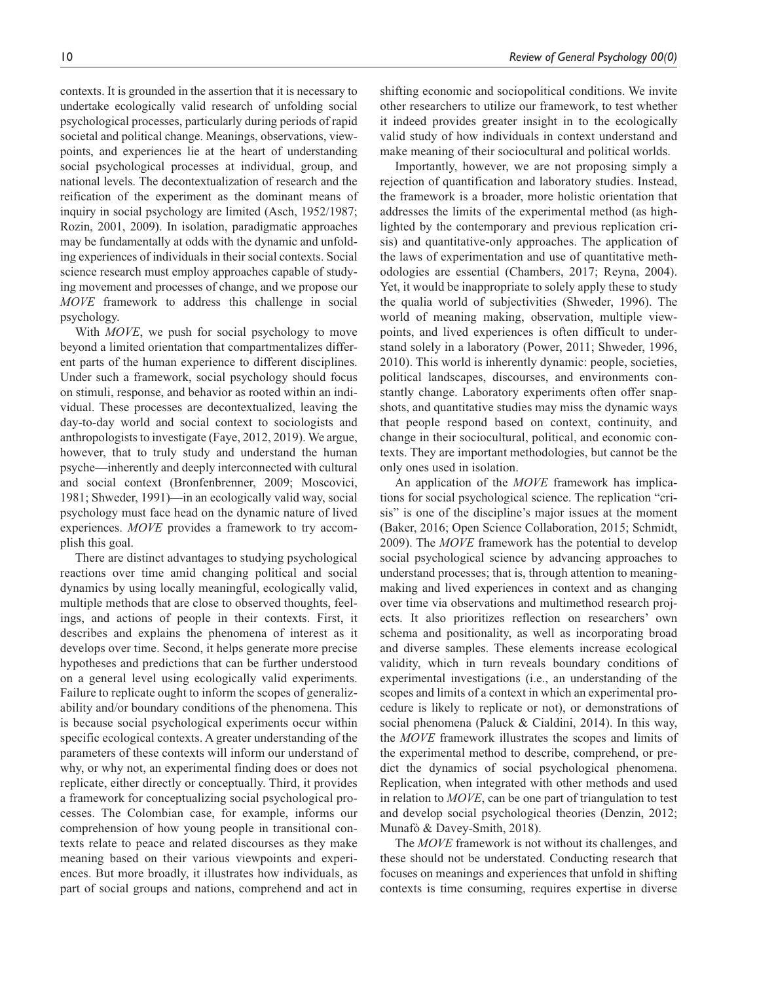contexts. It is grounded in the assertion that it is necessary to undertake ecologically valid research of unfolding social psychological processes, particularly during periods of rapid societal and political change. Meanings, observations, viewpoints, and experiences lie at the heart of understanding social psychological processes at individual, group, and national levels. The decontextualization of research and the reification of the experiment as the dominant means of inquiry in social psychology are limited (Asch, 1952/1987; Rozin, 2001, 2009). In isolation, paradigmatic approaches may be fundamentally at odds with the dynamic and unfolding experiences of individuals in their social contexts. Social science research must employ approaches capable of studying movement and processes of change, and we propose our *MOVE* framework to address this challenge in social psychology.

With *MOVE*, we push for social psychology to move beyond a limited orientation that compartmentalizes different parts of the human experience to different disciplines. Under such a framework, social psychology should focus on stimuli, response, and behavior as rooted within an individual. These processes are decontextualized, leaving the day-to-day world and social context to sociologists and anthropologists to investigate (Faye, 2012, 2019). We argue, however, that to truly study and understand the human psyche—inherently and deeply interconnected with cultural and social context (Bronfenbrenner, 2009; Moscovici, 1981; Shweder, 1991)—in an ecologically valid way, social psychology must face head on the dynamic nature of lived experiences. *MOVE* provides a framework to try accomplish this goal.

There are distinct advantages to studying psychological reactions over time amid changing political and social dynamics by using locally meaningful, ecologically valid, multiple methods that are close to observed thoughts, feelings, and actions of people in their contexts. First, it describes and explains the phenomena of interest as it develops over time. Second, it helps generate more precise hypotheses and predictions that can be further understood on a general level using ecologically valid experiments. Failure to replicate ought to inform the scopes of generalizability and/or boundary conditions of the phenomena. This is because social psychological experiments occur within specific ecological contexts. A greater understanding of the parameters of these contexts will inform our understand of why, or why not, an experimental finding does or does not replicate, either directly or conceptually. Third, it provides a framework for conceptualizing social psychological processes. The Colombian case, for example, informs our comprehension of how young people in transitional contexts relate to peace and related discourses as they make meaning based on their various viewpoints and experiences. But more broadly, it illustrates how individuals, as part of social groups and nations, comprehend and act in shifting economic and sociopolitical conditions. We invite other researchers to utilize our framework, to test whether it indeed provides greater insight in to the ecologically valid study of how individuals in context understand and make meaning of their sociocultural and political worlds.

Importantly, however, we are not proposing simply a rejection of quantification and laboratory studies. Instead, the framework is a broader, more holistic orientation that addresses the limits of the experimental method (as highlighted by the contemporary and previous replication crisis) and quantitative-only approaches. The application of the laws of experimentation and use of quantitative methodologies are essential (Chambers, 2017; Reyna, 2004). Yet, it would be inappropriate to solely apply these to study the qualia world of subjectivities (Shweder, 1996). The world of meaning making, observation, multiple viewpoints, and lived experiences is often difficult to understand solely in a laboratory (Power, 2011; Shweder, 1996, 2010). This world is inherently dynamic: people, societies, political landscapes, discourses, and environments constantly change. Laboratory experiments often offer snapshots, and quantitative studies may miss the dynamic ways that people respond based on context, continuity, and change in their sociocultural, political, and economic contexts. They are important methodologies, but cannot be the only ones used in isolation.

An application of the *MOVE* framework has implications for social psychological science. The replication "crisis" is one of the discipline's major issues at the moment (Baker, 2016; Open Science Collaboration, 2015; Schmidt, 2009). The *MOVE* framework has the potential to develop social psychological science by advancing approaches to understand processes; that is, through attention to meaningmaking and lived experiences in context and as changing over time via observations and multimethod research projects. It also prioritizes reflection on researchers' own schema and positionality, as well as incorporating broad and diverse samples. These elements increase ecological validity, which in turn reveals boundary conditions of experimental investigations (i.e., an understanding of the scopes and limits of a context in which an experimental procedure is likely to replicate or not), or demonstrations of social phenomena (Paluck & Cialdini, 2014). In this way, the *MOVE* framework illustrates the scopes and limits of the experimental method to describe, comprehend, or predict the dynamics of social psychological phenomena. Replication, when integrated with other methods and used in relation to *MOVE*, can be one part of triangulation to test and develop social psychological theories (Denzin, 2012; Munafò & Davey-Smith, 2018).

The *MOVE* framework is not without its challenges, and these should not be understated. Conducting research that focuses on meanings and experiences that unfold in shifting contexts is time consuming, requires expertise in diverse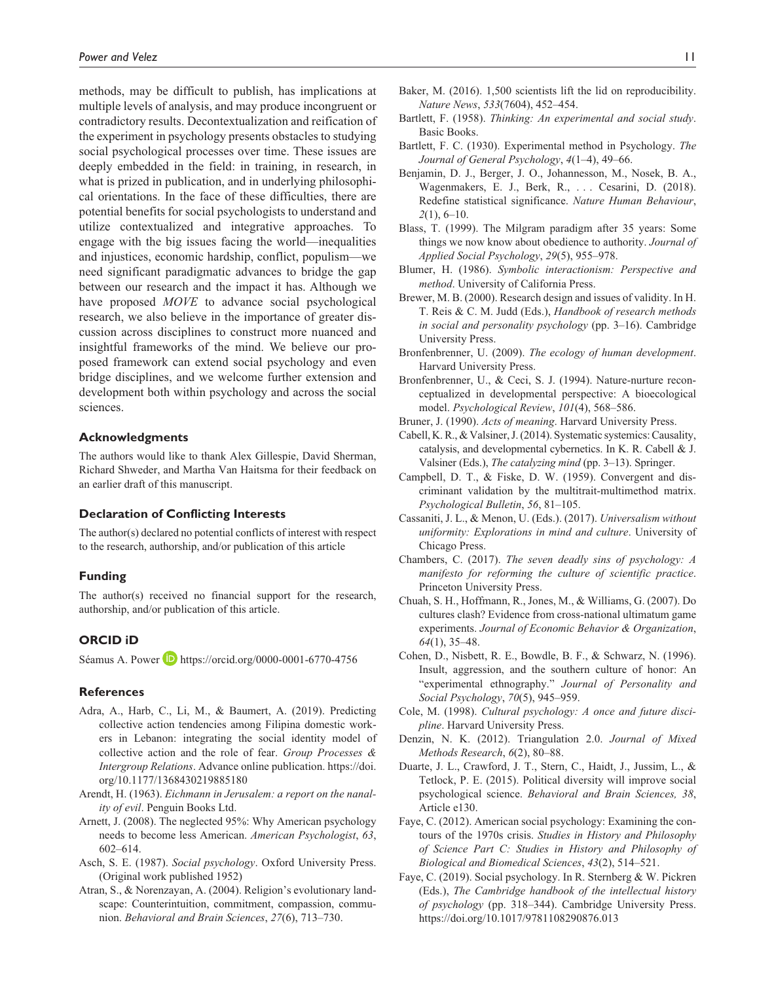methods, may be difficult to publish, has implications at multiple levels of analysis, and may produce incongruent or contradictory results. Decontextualization and reification of the experiment in psychology presents obstacles to studying social psychological processes over time. These issues are deeply embedded in the field: in training, in research, in what is prized in publication, and in underlying philosophical orientations. In the face of these difficulties, there are potential benefits for social psychologists to understand and utilize contextualized and integrative approaches. To engage with the big issues facing the world—inequalities and injustices, economic hardship, conflict, populism—we need significant paradigmatic advances to bridge the gap between our research and the impact it has. Although we have proposed *MOVE* to advance social psychological research, we also believe in the importance of greater discussion across disciplines to construct more nuanced and insightful frameworks of the mind. We believe our proposed framework can extend social psychology and even bridge disciplines, and we welcome further extension and development both within psychology and across the social sciences.

#### **Acknowledgments**

The authors would like to thank Alex Gillespie, David Sherman, Richard Shweder, and Martha Van Haitsma for their feedback on an earlier draft of this manuscript.

#### **Declaration of Conflicting Interests**

The author(s) declared no potential conflicts of interest with respect to the research, authorship, and/or publication of this article

#### **Funding**

The author(s) received no financial support for the research, authorship, and/or publication of this article.

#### **ORCID iD**

Séamus A. Power D <https://orcid.org/0000-0001-6770-4756>

#### **References**

- Adra, A., Harb, C., Li, M., & Baumert, A. (2019). Predicting collective action tendencies among Filipina domestic workers in Lebanon: integrating the social identity model of collective action and the role of fear. *Group Processes & Intergroup Relations*. Advance online publication. [https://doi.](https://doi.org/10.1177/1368430219885180) [org/10.1177/1368430219885180](https://doi.org/10.1177/1368430219885180)
- Arendt, H. (1963). *Eichmann in Jerusalem: a report on the nanality of evil*. Penguin Books Ltd.
- Arnett, J. (2008). The neglected 95%: Why American psychology needs to become less American. *American Psychologist*, *63*, 602–614.
- Asch, S. E. (1987). *Social psychology*. Oxford University Press. (Original work published 1952)
- Atran, S., & Norenzayan, A. (2004). Religion's evolutionary landscape: Counterintuition, commitment, compassion, communion. *Behavioral and Brain Sciences*, *27*(6), 713–730.
- Bartlett, F. (1958). *Thinking: An experimental and social study*. Basic Books.
- Bartlett, F. C. (1930). Experimental method in Psychology. *The Journal of General Psychology*, *4*(1–4), 49–66.
- Benjamin, D. J., Berger, J. O., Johannesson, M., Nosek, B. A., Wagenmakers, E. J., Berk, R., . . . Cesarini, D. (2018). Redefine statistical significance. *Nature Human Behaviour*, *2*(1), 6–10.
- Blass, T. (1999). The Milgram paradigm after 35 years: Some things we now know about obedience to authority. *Journal of Applied Social Psychology*, *29*(5), 955–978.
- Blumer, H. (1986). *Symbolic interactionism: Perspective and method*. University of California Press.
- Brewer, M. B. (2000). Research design and issues of validity. In H. T. Reis & C. M. Judd (Eds.), *Handbook of research methods in social and personality psychology* (pp. 3–16). Cambridge University Press.
- Bronfenbrenner, U. (2009). *The ecology of human development*. Harvard University Press.
- Bronfenbrenner, U., & Ceci, S. J. (1994). Nature-nurture reconceptualized in developmental perspective: A bioecological model. *Psychological Review*, *101*(4), 568–586.
- Bruner, J. (1990). *Acts of meaning*. Harvard University Press.
- Cabell, K. R., & Valsiner, J. (2014). Systematic systemics: Causality, catalysis, and developmental cybernetics. In K. R. Cabell & J. Valsiner (Eds.), *The catalyzing mind* (pp. 3–13). Springer.
- Campbell, D. T., & Fiske, D. W. (1959). Convergent and discriminant validation by the multitrait-multimethod matrix. *Psychological Bulletin*, *56*, 81–105.
- Cassaniti, J. L., & Menon, U. (Eds.). (2017). *Universalism without uniformity: Explorations in mind and culture*. University of Chicago Press.
- Chambers, C. (2017). *The seven deadly sins of psychology: A manifesto for reforming the culture of scientific practice*. Princeton University Press.
- Chuah, S. H., Hoffmann, R., Jones, M., & Williams, G. (2007). Do cultures clash? Evidence from cross-national ultimatum game experiments. *Journal of Economic Behavior & Organization*, *64*(1), 35–48.
- Cohen, D., Nisbett, R. E., Bowdle, B. F., & Schwarz, N. (1996). Insult, aggression, and the southern culture of honor: An "experimental ethnography." *Journal of Personality and Social Psychology*, *70*(5), 945–959.
- Cole, M. (1998). *Cultural psychology: A once and future discipline*. Harvard University Press.
- Denzin, N. K. (2012). Triangulation 2.0. *Journal of Mixed Methods Research*, *6*(2), 80–88.
- Duarte, J. L., Crawford, J. T., Stern, C., Haidt, J., Jussim, L., & Tetlock, P. E. (2015). Political diversity will improve social psychological science. *Behavioral and Brain Sciences, 38*, Article e130.
- Faye, C. (2012). American social psychology: Examining the contours of the 1970s crisis. *Studies in History and Philosophy of Science Part C: Studies in History and Philosophy of Biological and Biomedical Sciences*, *43*(2), 514–521.
- Faye, C. (2019). Social psychology. In R. Sternberg & W. Pickren (Eds.), *The Cambridge handbook of the intellectual history of psychology* (pp. 318–344). Cambridge University Press. <https://doi.org/10.1017/9781108290876.013>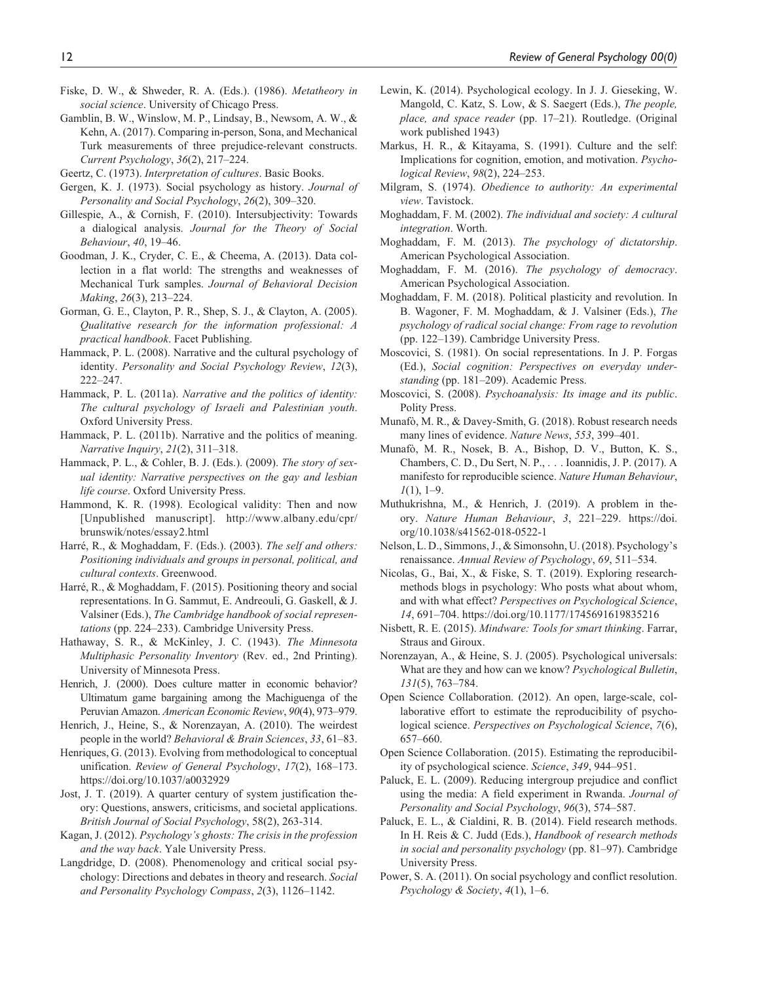- Fiske, D. W., & Shweder, R. A. (Eds.). (1986). *Metatheory in social science*. University of Chicago Press.
- Gamblin, B. W., Winslow, M. P., Lindsay, B., Newsom, A. W., & Kehn, A. (2017). Comparing in-person, Sona, and Mechanical Turk measurements of three prejudice-relevant constructs. *Current Psychology*, *36*(2), 217–224.
- Geertz, C. (1973). *Interpretation of cultures*. Basic Books.
- Gergen, K. J. (1973). Social psychology as history. *Journal of Personality and Social Psychology*, *26*(2), 309–320.
- Gillespie, A., & Cornish, F. (2010). Intersubjectivity: Towards a dialogical analysis. *Journal for the Theory of Social Behaviour*, *40*, 19–46.
- Goodman, J. K., Cryder, C. E., & Cheema, A. (2013). Data collection in a flat world: The strengths and weaknesses of Mechanical Turk samples. *Journal of Behavioral Decision Making*, *26*(3), 213–224.
- Gorman, G. E., Clayton, P. R., Shep, S. J., & Clayton, A. (2005). *Qualitative research for the information professional: A practical handbook*. Facet Publishing.
- Hammack, P. L. (2008). Narrative and the cultural psychology of identity. *Personality and Social Psychology Review*, *12*(3), 222–247.
- Hammack, P. L. (2011a). *Narrative and the politics of identity: The cultural psychology of Israeli and Palestinian youth*. Oxford University Press.
- Hammack, P. L. (2011b). Narrative and the politics of meaning. *Narrative Inquiry*, *21*(2), 311–318.
- Hammack, P. L., & Cohler, B. J. (Eds.). (2009). *The story of sexual identity: Narrative perspectives on the gay and lesbian life course*. Oxford University Press.
- Hammond, K. R. (1998). Ecological validity: Then and now [Unpublished manuscript]. [http://www.albany.edu/cpr/](http://www.albany.edu/cpr/brunswik/notes/essay2.html) [brunswik/notes/essay2.html](http://www.albany.edu/cpr/brunswik/notes/essay2.html)
- Harré, R., & Moghaddam, F. (Eds.). (2003). *The self and others: Positioning individuals and groups in personal, political, and cultural contexts*. Greenwood.
- Harré, R., & Moghaddam, F. (2015). Positioning theory and social representations. In G. Sammut, E. Andreouli, G. Gaskell, & J. Valsiner (Eds.), *The Cambridge handbook of social representations* (pp. 224–233). Cambridge University Press.
- Hathaway, S. R., & McKinley, J. C. (1943). *The Minnesota Multiphasic Personality Inventory* (Rev. ed., 2nd Printing). University of Minnesota Press.
- Henrich, J. (2000). Does culture matter in economic behavior? Ultimatum game bargaining among the Machiguenga of the Peruvian Amazon. *American Economic Review*, *90*(4), 973–979.
- Henrich, J., Heine, S., & Norenzayan, A. (2010). The weirdest people in the world? *Behavioral & Brain Sciences*, *33*, 61–83.
- Henriques, G. (2013). Evolving from methodological to conceptual unification. *Review of General Psychology*, *17*(2), 168–173. <https://doi.org/10.1037/a0032929>
- Jost, J. T. (2019). A quarter century of system justification theory: Questions, answers, criticisms, and societal applications. *British Journal of Social Psychology*, 58(2), 263-314.
- Kagan, J. (2012). *Psychology's ghosts: The crisis in the profession and the way back*. Yale University Press.
- Langdridge, D. (2008). Phenomenology and critical social psychology: Directions and debates in theory and research. *Social and Personality Psychology Compass*, *2*(3), 1126–1142.
- Lewin, K. (2014). Psychological ecology. In J. J. Gieseking, W. Mangold, C. Katz, S. Low, & S. Saegert (Eds.), *The people, place, and space reader* (pp. 17–21). Routledge. (Original work published 1943)
- Markus, H. R., & Kitayama, S. (1991). Culture and the self: Implications for cognition, emotion, and motivation. *Psychological Review*, *98*(2), 224–253.
- Milgram, S. (1974). *Obedience to authority: An experimental view*. Tavistock.
- Moghaddam, F. M. (2002). *The individual and society: A cultural integration*. Worth.
- Moghaddam, F. M. (2013). *The psychology of dictatorship*. American Psychological Association.
- Moghaddam, F. M. (2016). *The psychology of democracy*. American Psychological Association.
- Moghaddam, F. M. (2018). Political plasticity and revolution. In B. Wagoner, F. M. Moghaddam, & J. Valsiner (Eds.), *The psychology of radical social change: From rage to revolution* (pp. 122–139). Cambridge University Press.
- Moscovici, S. (1981). On social representations. In J. P. Forgas (Ed.), *Social cognition: Perspectives on everyday understanding* (pp. 181–209). Academic Press.
- Moscovici, S. (2008). *Psychoanalysis: Its image and its public*. Polity Press.
- Munafò, M. R., & Davey-Smith, G. (2018). Robust research needs many lines of evidence. *Nature News*, *553*, 399–401.
- Munafò, M. R., Nosek, B. A., Bishop, D. V., Button, K. S., Chambers, C. D., Du Sert, N. P., . . . Ioannidis, J. P. (2017). A manifesto for reproducible science. *Nature Human Behaviour*, *1*(1), 1–9.
- Muthukrishna, M., & Henrich, J. (2019). A problem in theory. *Nature Human Behaviour*, *3*, 221–229. [https://doi.](https://doi.org/10.1038/s41562-018-0522-1) [org/10.1038/s41562-018-0522-1](https://doi.org/10.1038/s41562-018-0522-1)
- Nelson, L. D., Simmons, J., & Simonsohn, U. (2018). Psychology's renaissance. *Annual Review of Psychology*, *69*, 511–534.
- Nicolas, G., Bai, X., & Fiske, S. T. (2019). Exploring researchmethods blogs in psychology: Who posts what about whom, and with what effect? *Perspectives on Psychological Science*, *14*, 691–704.<https://doi.org/10.1177/1745691619835216>
- Nisbett, R. E. (2015). *Mindware: Tools for smart thinking*. Farrar, Straus and Giroux.
- Norenzayan, A., & Heine, S. J. (2005). Psychological universals: What are they and how can we know? *Psychological Bulletin*, *131*(5), 763–784.
- Open Science Collaboration. (2012). An open, large-scale, collaborative effort to estimate the reproducibility of psychological science. *Perspectives on Psychological Science*, *7*(6), 657–660.
- Open Science Collaboration. (2015). Estimating the reproducibility of psychological science. *Science*, *349*, 944–951.
- Paluck, E. L. (2009). Reducing intergroup prejudice and conflict using the media: A field experiment in Rwanda. *Journal of Personality and Social Psychology*, *96*(3), 574–587.
- Paluck, E. L., & Cialdini, R. B. (2014). Field research methods. In H. Reis & C. Judd (Eds.), *Handbook of research methods in social and personality psychology* (pp. 81–97). Cambridge University Press.
- Power, S. A. (2011). On social psychology and conflict resolution. *Psychology & Society*, *4*(1), 1–6.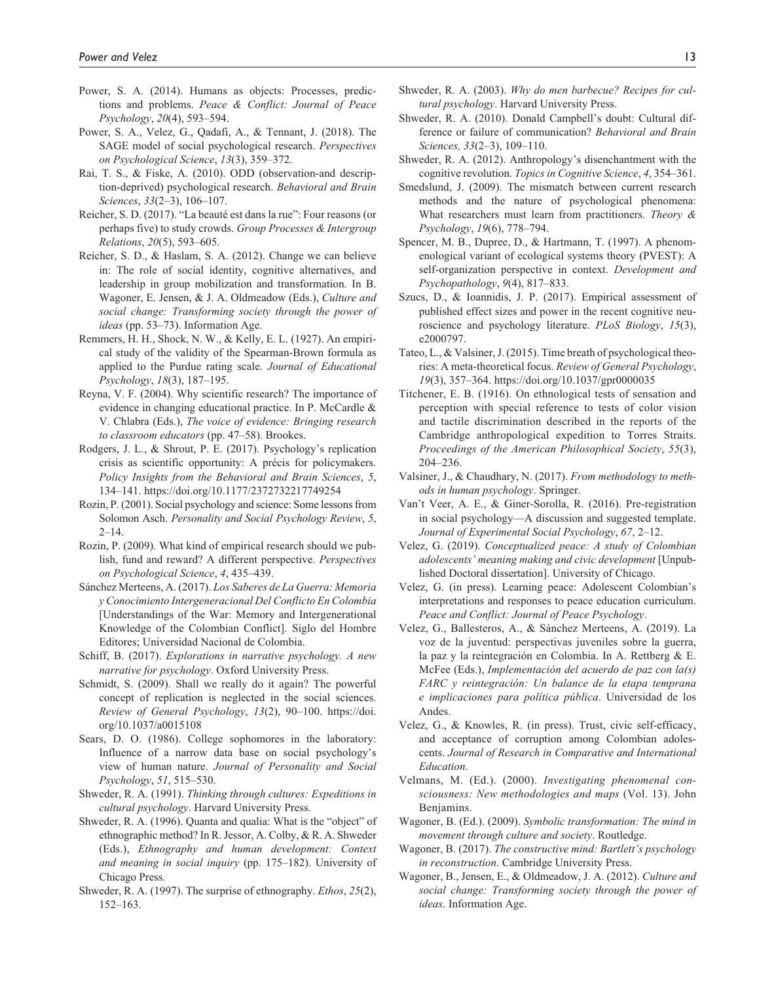- Power, S. A. (2014). Humans as objects: Processes, predictions and problems. *Peace & Conflict: Journal of Peace Psychology*, *20*(4), 593–594.
- Power, S. A., Velez, G., Qadafi, A., & Tennant, J. (2018). The SAGE model of social psychological research. *Perspectives on Psychological Science*, *13*(3), 359–372.
- Rai, T. S., & Fiske, A. (2010). ODD (observation-and description-deprived) psychological research. *Behavioral and Brain Sciences*, *33*(2–3), 106–107.
- Reicher, S. D. (2017). "La beauté est dans la rue": Four reasons (or perhaps five) to study crowds. *Group Processes & Intergroup Relations*, *20*(5), 593–605.
- Reicher, S. D., & Haslam, S. A. (2012). Change we can believe in: The role of social identity, cognitive alternatives, and leadership in group mobilization and transformation. In B. Wagoner, E. Jensen, & J. A. Oldmeadow (Eds.), *Culture and social change: Transforming society through the power of ideas* (pp. 53–73). Information Age.
- Remmers, H. H., Shock, N. W., & Kelly, E. L. (1927). An empirical study of the validity of the Spearman-Brown formula as applied to the Purdue rating scale. *Journal of Educational Psychology*, *18*(3), 187–195.
- Reyna, V. F. (2004). Why scientific research? The importance of evidence in changing educational practice. In P. McCardle & V. Chlabra (Eds.), *The voice of evidence: Bringing research to classroom educators* (pp. 47–58). Brookes.
- Rodgers, J. L., & Shrout, P. E. (2017). Psychology's replication crisis as scientific opportunity: A précis for policymakers. *Policy Insights from the Behavioral and Brain Sciences*, *5*, 134–141.<https://doi.org/10.1177/2372732217749254>
- Rozin, P. (2001). Social psychology and science: Some lessons from Solomon Asch. *Personality and Social Psychology Review*, *5*,  $2 - 14.$
- Rozin, P. (2009). What kind of empirical research should we publish, fund and reward? A different perspective. *Perspectives on Psychological Science*, *4*, 435–439.
- Sánchez Merteens, A. (2017). *Los Saberes de La Guerra: Memoria y Conocimiento Intergeneracional Del Conflicto En Colombia* [Understandings of the War: Memory and Intergenerational Knowledge of the Colombian Conflict]. Siglo del Hombre Editores; Universidad Nacional de Colombia.
- Schiff, B. (2017). *Explorations in narrative psychology. A new narrative for psychology*. Oxford University Press.
- Schmidt, S. (2009). Shall we really do it again? The powerful concept of replication is neglected in the social sciences. *Review of General Psychology*, *13*(2), 90–100. [https://doi.](https://doi.org/10.1037/a0015108) [org/10.1037/a0015108](https://doi.org/10.1037/a0015108)
- Sears, D. O. (1986). College sophomores in the laboratory: Influence of a narrow data base on social psychology's view of human nature. *Journal of Personality and Social Psychology*, *51*, 515–530.
- Shweder, R. A. (1991). *Thinking through cultures: Expeditions in cultural psychology*. Harvard University Press.
- Shweder, R. A. (1996). Quanta and qualia: What is the "object" of ethnographic method? In R. Jessor, A. Colby, & R. A. Shweder (Eds.), *Ethnography and human development: Context and meaning in social inquiry* (pp. 175–182). University of Chicago Press.
- Shweder, R. A. (1997). The surprise of ethnography. *Ethos*, *25*(2), 152–163.
- Shweder, R. A. (2003). *Why do men barbecue? Recipes for cultural psychology*. Harvard University Press.
- Shweder, R. A. (2010). Donald Campbell's doubt: Cultural difference or failure of communication? *Behavioral and Brain Sciences, 33*(2–3), 109–110.
- Shweder, R. A. (2012). Anthropology's disenchantment with the cognitive revolution. *Topics in Cognitive Science*, *4*, 354–361.
- Smedslund, J. (2009). The mismatch between current research methods and the nature of psychological phenomena: What researchers must learn from practitioners. *Theory & Psychology*, *19*(6), 778–794.
- Spencer, M. B., Dupree, D., & Hartmann, T. (1997). A phenomenological variant of ecological systems theory (PVEST): A self-organization perspective in context. *Development and Psychopathology*, *9*(4), 817–833.
- Szucs, D., & Ioannidis, J. P. (2017). Empirical assessment of published effect sizes and power in the recent cognitive neuroscience and psychology literature. *PLoS Biology*, *15*(3), e2000797.
- Tateo, L., & Valsiner, J. (2015). Time breath of psychological theories: A meta-theoretical focus. *Review of General Psychology*, *19*(3), 357–364. <https://doi.org/10.1037/gpr0000035>
- Titchener, E. B. (1916). On ethnological tests of sensation and perception with special reference to tests of color vision and tactile discrimination described in the reports of the Cambridge anthropological expedition to Torres Straits. *Proceedings of the American Philosophical Society*, *55*(3), 204–236.
- Valsiner, J., & Chaudhary, N. (2017). *From methodology to methods in human psychology*. Springer.
- Van't Veer, A. E., & Giner-Sorolla, R. (2016). Pre-registration in social psychology—A discussion and suggested template. *Journal of Experimental Social Psychology*, *67*, 2–12.
- Velez, G. (2019). *Conceptualized peace: A study of Colombian adolescents' meaning making and civic development* [Unpublished Doctoral dissertation]. University of Chicago.
- Velez, G. (in press). Learning peace: Adolescent Colombian's interpretations and responses to peace education curriculum. *Peace and Conflict: Journal of Peace Psychology*.
- Velez, G., Ballesteros, A., & Sánchez Merteens, A. (2019). La voz de la juventud: perspectivas juveniles sobre la guerra, la paz y la reintegración en Colombia. In A. Rettberg & E. McFee (Eds.), *Implementación del acuerdo de paz con la(s) FARC y reintegración: Un balance de la etapa temprana e implicaciones para política pública*. Universidad de los Andes.
- Velez, G., & Knowles, R. (in press). Trust, civic self-efficacy, and acceptance of corruption among Colombian adolescents. *Journal of Research in Comparative and International Education*.
- Velmans, M. (Ed.). (2000). *Investigating phenomenal consciousness: New methodologies and maps* (Vol. 13). John Benjamins.
- Wagoner, B. (Ed.). (2009). *Symbolic transformation: The mind in movement through culture and society*. Routledge.
- Wagoner, B. (2017). *The constructive mind: Bartlett's psychology in reconstruction*. Cambridge University Press.
- Wagoner, B., Jensen, E., & Oldmeadow, J. A. (2012). *Culture and social change: Transforming society through the power of ideas*. Information Age.